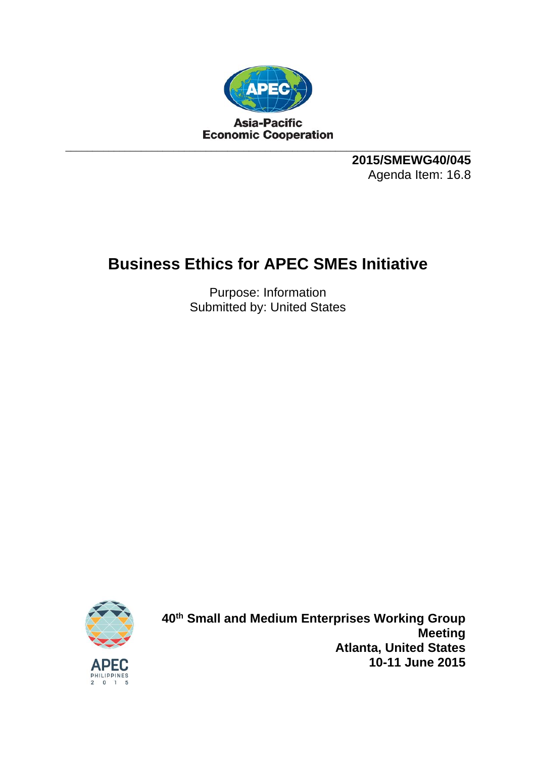

**2015/SMEWG40/045**  Agenda Item: 16.8

## **Business Ethics for APEC SMEs Initiative**

Purpose: Information Submitted by: United States



**40th Small and Medium Enterprises Working Group Meeting Atlanta, United States 10-11 June 2015**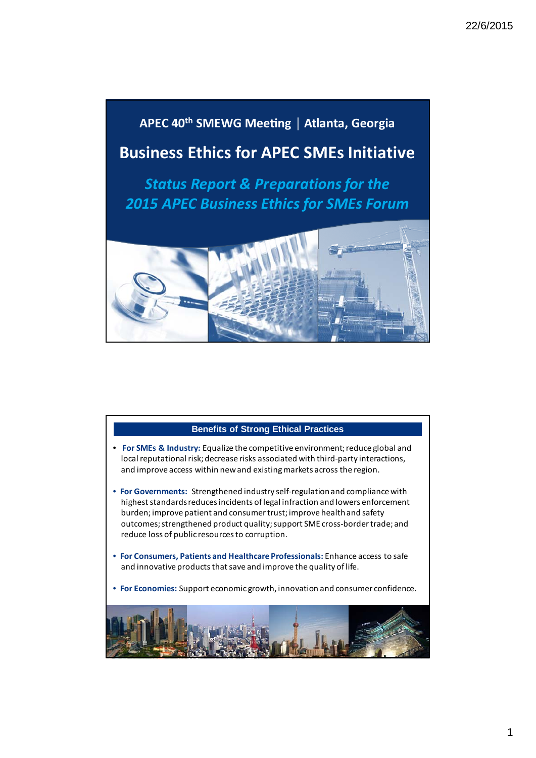

## **Benefits of Strong Ethical Practices**

- **For SMEs & Industry:** Equalize the competitive environment;reduce global and local reputational risk; decrease risks associated with third-party interactions, and improve access within newand existingmarkets across the region.
- **For Governments:** Strengthened industry self‐regulationand compliance with highest standards reduces incidents of legal infraction and lowers enforcement burden;improve patient and consumertrust;improve healthand safety outcomes; strengthened product quality; support SME cross-border trade; and reduce loss of public resourcesto corruption.
- **For Consumers, Patients and Healthcare Professionals:** Enhance access to safe and innovative products that save and improve the quality of life.
- **For Economies:** Support economic growth, innovation and consumer confidence.

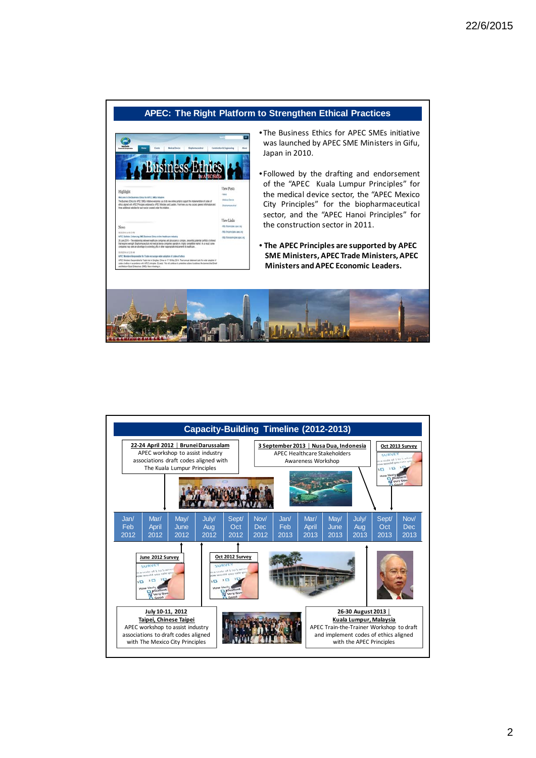## **APEC: The Right Platform to Strengthen Ethical Practices**



- The Business Ethics for APEC SMEs initiative was launched by APEC SME Ministers in Gifu, Japan in 2010.
- Followed by the drafting and endorsement of the "APEC Kuala Lumpur Principles" for the medical device sector, the "APEC Mexico City Principles" for the biopharmaceutical sector, and the "APEC Hanoi Principles" for the construction sector in 2011.
- **The APEC Principles are supported by APEC SME Ministers, APEC Trade Ministers, APEC Ministers andAPEC Economic Leaders.**



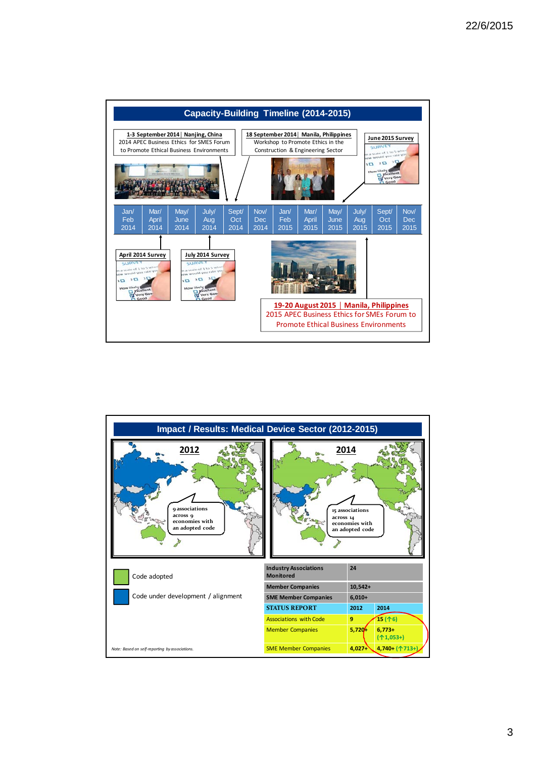

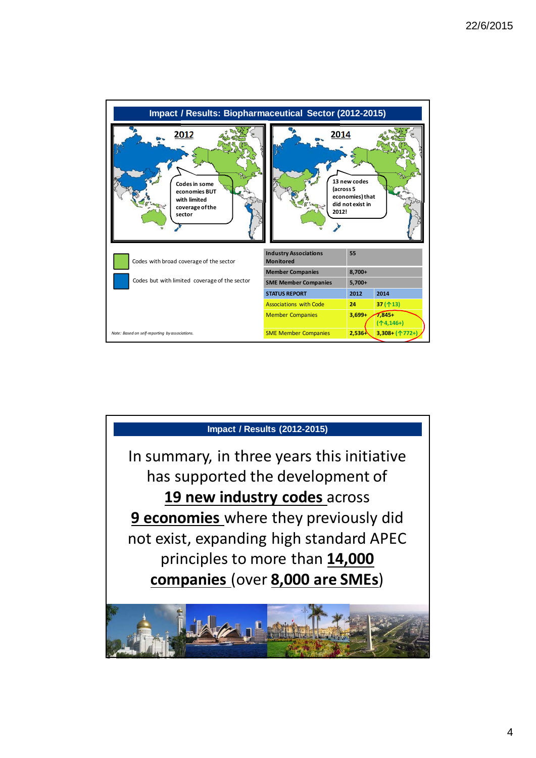

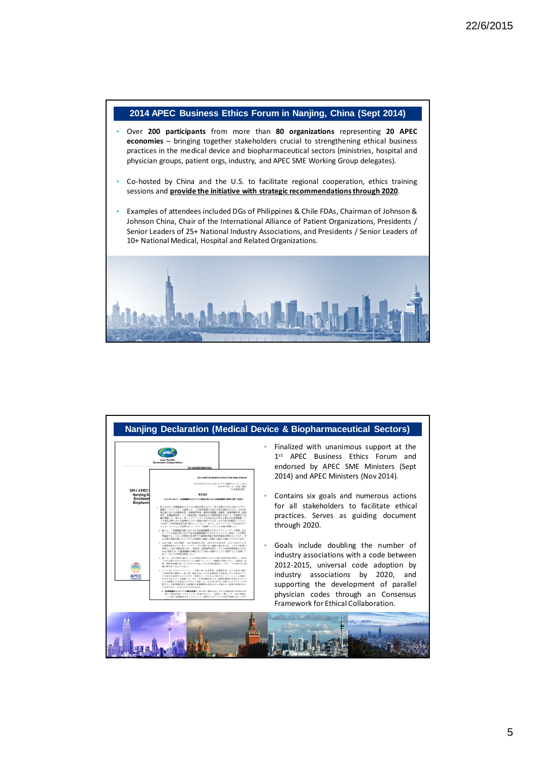